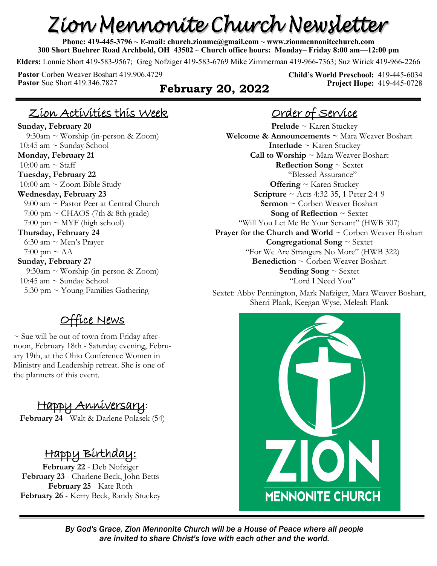# Zion Mennonite Church Newsletter

**Phone: 419-445-3796 ~ E-mail: church.zionmc@gmail.com ~ www.zionmennonitechurch.com 300 Short Buehrer Road Archbold, OH 43502** ~ **Church office hours: Monday– Friday 8:00 am—12:00 pm** 

**Elders:** Lonnie Short 419-583-9567; Greg Nofziger 419-583-6769 Mike Zimmerman 419-966-7363; Suz Wirick 419-966-2266

**Pastor** Corben Weaver Boshart 419.906.4729<br>**Pastor** Sue Short 419.346.7827

#### **February 20, 2022**

**Child's World Preschool:** 419-445-6034 **Project Hope:** 419-445-0728

## Zion Activities this Week

**Sunday, February 20** 9:30am ~ Worship (in-person & Zoom) 10:45 am ~ Sunday School **Monday, February 21** 10:00 am  $\sim$  Staff **Tuesday, February 22** 10:00 am  $\sim$  Zoom Bible Study **Wednesday, February 23** 9:00 am ~ Pastor Peer at Central Church  $7:00 \text{ pm} \sim \text{CHAOS}$  (7th & 8th grade)  $7:00 \text{ pm} \sim \text{MYF}$  (high school) **Thursday, February 24** 6:30 am  $\sim$  Men's Prayer  $7:00 \text{ pm} \sim \text{AA}$ **Sunday, February 27** 9:30am ~ Worship (in-person & Zoom) 10:45 am  $\sim$  Sunday School 5:30 pm  $\sim$  Young Families Gathering

# <u>Fice News</u>

 $\sim$  Sue will be out of town from Friday afternoon, February 18th - Saturday evening, February 19th, at the Ohio Conference Women in Ministry and Leadership retreat. She is one of the planners of this event.

# Happy Anniversary**:**

**February 24** - Walt & Darlene Polasek (54)

#### Happy Birthday:

**February 22** - Deb Nofziger **February 23** - Charlene Beck, John Betts **February 25** - Kate Roth **February 26** - Kerry Beck, Randy Stuckey

# Order of Service

**Prelude** ~ Karen Stuckey **Welcome & Announcements ~** Mara Weaver Boshart **Interlude** ~ Karen Stuckey **Call to Worship** ~ Mara Weaver Boshart **Reflection Song** ~ Sextet "Blessed Assurance" **Offering** ~ Karen Stuckey **Scripture** ~ Acts 4:32-35, 1 Peter 2:4-9 **Sermon** ~ Corben Weaver Boshart **Song of Reflection** ~ Sextet "Will You Let Me Be Your Servant" (HWB 307) **Prayer for the Church and World ~ Corben Weaver Boshart Congregational Song** ~ Sextet "For We Are Strangers No More" (HWB 322) **Benediction** ~ Corben Weaver Boshart **Sending Song** ~ Sextet "Lord I Need You"

Sextet: Abby Pennington, Mark Nafziger, Mara Weaver Boshart, Sherri Plank, Keegan Wyse, Meleah Plank



*By God's Grace, Zion Mennonite Church will be a House of Peace where all people are invited to share Christ's love with each other and the world.*